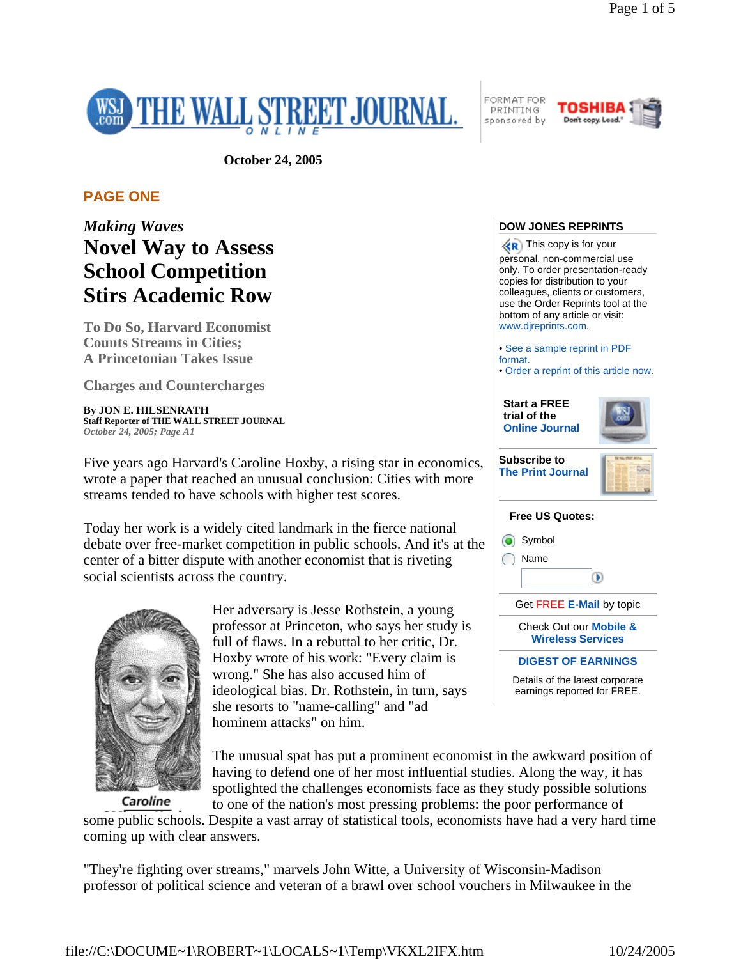

**October 24, 2005** 

# **PAGE ONE**

# *Making Waves* **Novel Way to Assess School Competition Stirs Academic Row**

**To Do So, Harvard Economist Counts Streams in Cities; A Princetonian Takes Issue** 

**Charges and Countercharges** 

**By JON E. HILSENRATH Staff Reporter of THE WALL STREET JOURNAL** *October 24, 2005; Page A1*

Five years ago Harvard's Caroline Hoxby, a rising star in economics, wrote a paper that reached an unusual conclusion: Cities with more streams tended to have schools with higher test scores.

Today her work is a widely cited landmark in the fierce national debate over free-market competition in public schools. And it's at the center of a bitter dispute with another economist that is riveting social scientists across the country.



Her adversary is Jesse Rothstein, a young professor at Princeton, who says her study is full of flaws. In a rebuttal to her critic, Dr. Hoxby wrote of his work: "Every claim is wrong." She has also accused him of ideological bias. Dr. Rothstein, in turn, says she resorts to "name-calling" and "ad hominem attacks" on him.

FORMAT FOR PRINTING sponsored by



#### **DOW JONES REPRINTS**

 $\langle R \rangle$  This copy is for your personal, non-commercial use only. To order presentation-ready copies for distribution to your colleagues, clients or customers, use the Order Reprints tool at the bottom of any article or visit: www.djreprints.com.

• See a sample reprint in PDF format. • Order a reprint of this article now.



#### **Free US Quotes:**

|                                                                | Symbol                    |
|----------------------------------------------------------------|---------------------------|
|                                                                | Name                      |
|                                                                |                           |
| Get FREE E-Mail by topic                                       |                           |
| Check Out our <b>Mobile &amp;</b><br><b>Wireless Services</b>  |                           |
|                                                                | <b>DIGEST OF EARNINGS</b> |
| Details of the latest corporate<br>earnings reported for FREE. |                           |

The unusual spat has put a prominent economist in the awkward position of having to defend one of her most influential studies. Along the way, it has spotlighted the challenges economists face as they study possible solutions to one of the nation's most pressing problems: the poor performance of

some public schools. Despite a vast array of statistical tools, economists have had a very hard time coming up with clear answers.

"They're fighting over streams," marvels John Witte, a University of Wisconsin-Madison professor of political science and veteran of a brawl over school vouchers in Milwaukee in the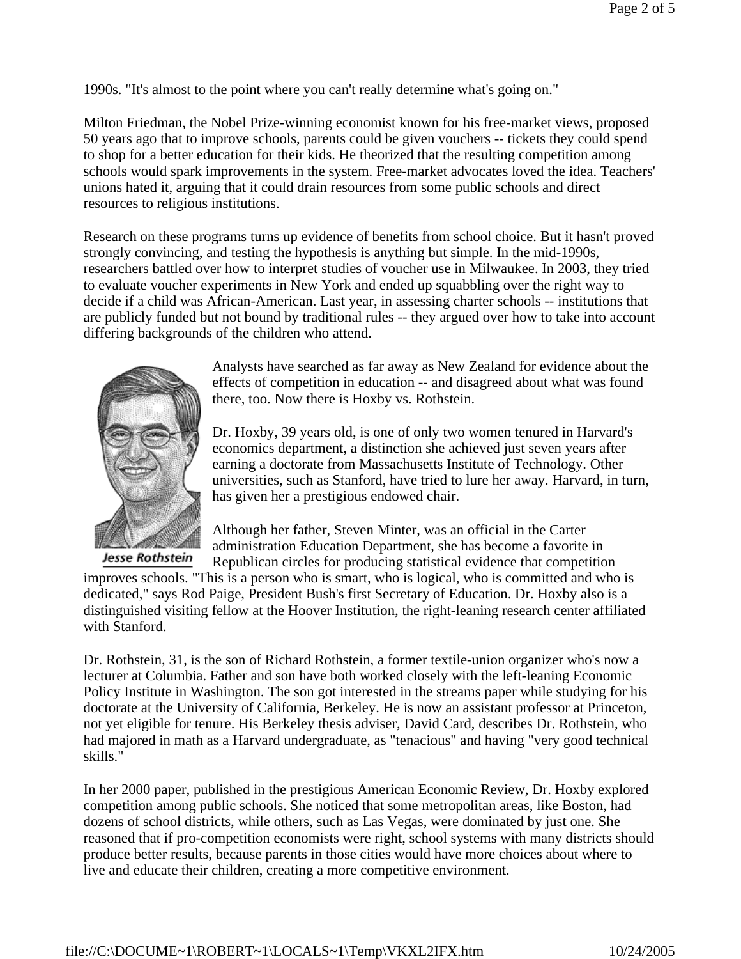1990s. "It's almost to the point where you can't really determine what's going on."

Milton Friedman, the Nobel Prize-winning economist known for his free-market views, proposed 50 years ago that to improve schools, parents could be given vouchers -- tickets they could spend to shop for a better education for their kids. He theorized that the resulting competition among schools would spark improvements in the system. Free-market advocates loved the idea. Teachers' unions hated it, arguing that it could drain resources from some public schools and direct resources to religious institutions.

Research on these programs turns up evidence of benefits from school choice. But it hasn't proved strongly convincing, and testing the hypothesis is anything but simple. In the mid-1990s, researchers battled over how to interpret studies of voucher use in Milwaukee. In 2003, they tried to evaluate voucher experiments in New York and ended up squabbling over the right way to decide if a child was African-American. Last year, in assessing charter schools -- institutions that are publicly funded but not bound by traditional rules -- they argued over how to take into account differing backgrounds of the children who attend.



Jesse Rothstein

Analysts have searched as far away as New Zealand for evidence about the effects of competition in education -- and disagreed about what was found there, too. Now there is Hoxby vs. Rothstein.

Dr. Hoxby, 39 years old, is one of only two women tenured in Harvard's economics department, a distinction she achieved just seven years after earning a doctorate from Massachusetts Institute of Technology. Other universities, such as Stanford, have tried to lure her away. Harvard, in turn, has given her a prestigious endowed chair.

Although her father, Steven Minter, was an official in the Carter administration Education Department, she has become a favorite in Republican circles for producing statistical evidence that competition

improves schools. "This is a person who is smart, who is logical, who is committed and who is dedicated," says Rod Paige, President Bush's first Secretary of Education. Dr. Hoxby also is a distinguished visiting fellow at the Hoover Institution, the right-leaning research center affiliated with Stanford.

Dr. Rothstein, 31, is the son of Richard Rothstein, a former textile-union organizer who's now a lecturer at Columbia. Father and son have both worked closely with the left-leaning Economic Policy Institute in Washington. The son got interested in the streams paper while studying for his doctorate at the University of California, Berkeley. He is now an assistant professor at Princeton, not yet eligible for tenure. His Berkeley thesis adviser, David Card, describes Dr. Rothstein, who had majored in math as a Harvard undergraduate, as "tenacious" and having "very good technical skills."

In her 2000 paper, published in the prestigious American Economic Review, Dr. Hoxby explored competition among public schools. She noticed that some metropolitan areas, like Boston, had dozens of school districts, while others, such as Las Vegas, were dominated by just one. She reasoned that if pro-competition economists were right, school systems with many districts should produce better results, because parents in those cities would have more choices about where to live and educate their children, creating a more competitive environment.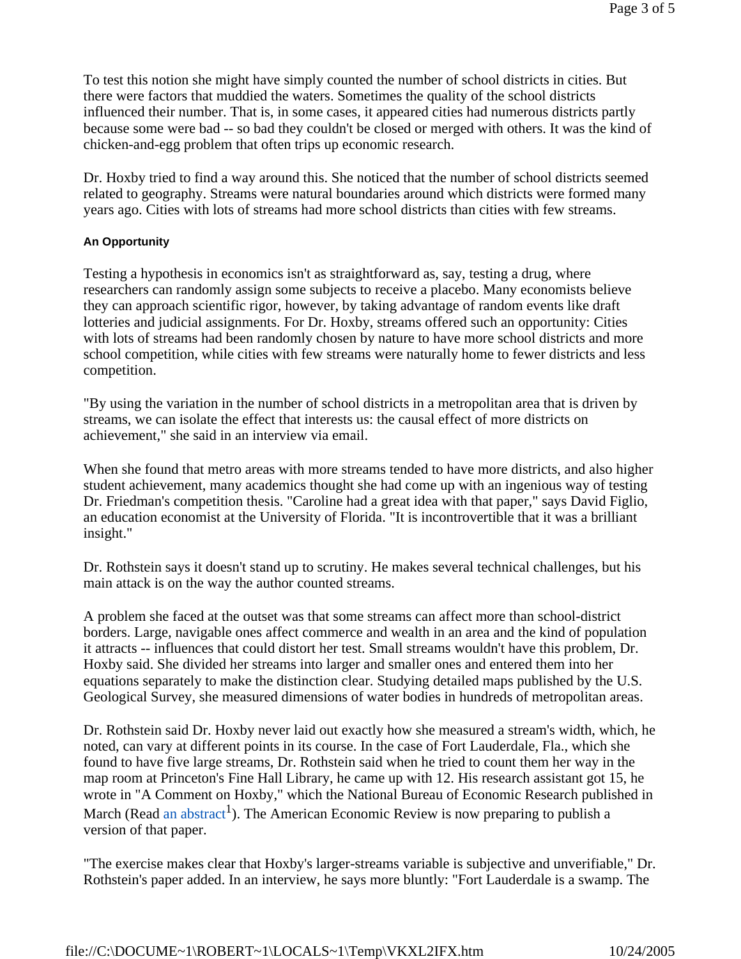To test this notion she might have simply counted the number of school districts in cities. But there were factors that muddied the waters. Sometimes the quality of the school districts influenced their number. That is, in some cases, it appeared cities had numerous districts partly because some were bad -- so bad they couldn't be closed or merged with others. It was the kind of chicken-and-egg problem that often trips up economic research.

Dr. Hoxby tried to find a way around this. She noticed that the number of school districts seemed related to geography. Streams were natural boundaries around which districts were formed many years ago. Cities with lots of streams had more school districts than cities with few streams.

## **An Opportunity**

Testing a hypothesis in economics isn't as straightforward as, say, testing a drug, where researchers can randomly assign some subjects to receive a placebo. Many economists believe they can approach scientific rigor, however, by taking advantage of random events like draft lotteries and judicial assignments. For Dr. Hoxby, streams offered such an opportunity: Cities with lots of streams had been randomly chosen by nature to have more school districts and more school competition, while cities with few streams were naturally home to fewer districts and less competition.

"By using the variation in the number of school districts in a metropolitan area that is driven by streams, we can isolate the effect that interests us: the causal effect of more districts on achievement," she said in an interview via email.

When she found that metro areas with more streams tended to have more districts, and also higher student achievement, many academics thought she had come up with an ingenious way of testing Dr. Friedman's competition thesis. "Caroline had a great idea with that paper," says David Figlio, an education economist at the University of Florida. "It is incontrovertible that it was a brilliant insight."

Dr. Rothstein says it doesn't stand up to scrutiny. He makes several technical challenges, but his main attack is on the way the author counted streams.

A problem she faced at the outset was that some streams can affect more than school-district borders. Large, navigable ones affect commerce and wealth in an area and the kind of population it attracts -- influences that could distort her test. Small streams wouldn't have this problem, Dr. Hoxby said. She divided her streams into larger and smaller ones and entered them into her equations separately to make the distinction clear. Studying detailed maps published by the U.S. Geological Survey, she measured dimensions of water bodies in hundreds of metropolitan areas.

Dr. Rothstein said Dr. Hoxby never laid out exactly how she measured a stream's width, which, he noted, can vary at different points in its course. In the case of Fort Lauderdale, Fla., which she found to have five large streams, Dr. Rothstein said when he tried to count them her way in the map room at Princeton's Fine Hall Library, he came up with 12. His research assistant got 15, he wrote in "A Comment on Hoxby," which the National Bureau of Economic Research published in March (Read an abstract<sup>1</sup>). The American Economic Review is now preparing to publish a version of that paper.

"The exercise makes clear that Hoxby's larger-streams variable is subjective and unverifiable," Dr. Rothstein's paper added. In an interview, he says more bluntly: "Fort Lauderdale is a swamp. The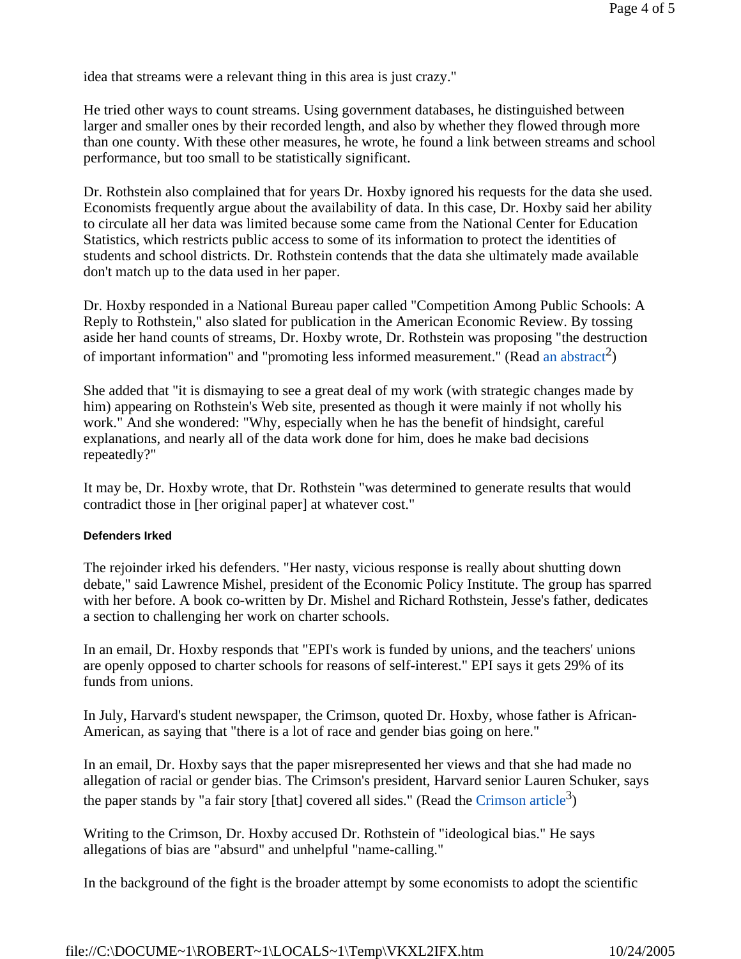idea that streams were a relevant thing in this area is just crazy."

He tried other ways to count streams. Using government databases, he distinguished between larger and smaller ones by their recorded length, and also by whether they flowed through more than one county. With these other measures, he wrote, he found a link between streams and school performance, but too small to be statistically significant.

Dr. Rothstein also complained that for years Dr. Hoxby ignored his requests for the data she used. Economists frequently argue about the availability of data. In this case, Dr. Hoxby said her ability to circulate all her data was limited because some came from the National Center for Education Statistics, which restricts public access to some of its information to protect the identities of students and school districts. Dr. Rothstein contends that the data she ultimately made available don't match up to the data used in her paper.

Dr. Hoxby responded in a National Bureau paper called "Competition Among Public Schools: A Reply to Rothstein," also slated for publication in the American Economic Review. By tossing aside her hand counts of streams, Dr. Hoxby wrote, Dr. Rothstein was proposing "the destruction of important information" and "promoting less informed measurement." (Read an abstract<sup>2</sup>)

She added that "it is dismaying to see a great deal of my work (with strategic changes made by him) appearing on Rothstein's Web site, presented as though it were mainly if not wholly his work." And she wondered: "Why, especially when he has the benefit of hindsight, careful explanations, and nearly all of the data work done for him, does he make bad decisions repeatedly?"

It may be, Dr. Hoxby wrote, that Dr. Rothstein "was determined to generate results that would contradict those in [her original paper] at whatever cost."

## **Defenders Irked**

The rejoinder irked his defenders. "Her nasty, vicious response is really about shutting down debate," said Lawrence Mishel, president of the Economic Policy Institute. The group has sparred with her before. A book co-written by Dr. Mishel and Richard Rothstein, Jesse's father, dedicates a section to challenging her work on charter schools.

In an email, Dr. Hoxby responds that "EPI's work is funded by unions, and the teachers' unions are openly opposed to charter schools for reasons of self-interest." EPI says it gets 29% of its funds from unions.

In July, Harvard's student newspaper, the Crimson, quoted Dr. Hoxby, whose father is African-American, as saying that "there is a lot of race and gender bias going on here."

In an email, Dr. Hoxby says that the paper misrepresented her views and that she had made no allegation of racial or gender bias. The Crimson's president, Harvard senior Lauren Schuker, says the paper stands by "a fair story [that] covered all sides." (Read the Crimson article<sup>3</sup>)

Writing to the Crimson, Dr. Hoxby accused Dr. Rothstein of "ideological bias." He says allegations of bias are "absurd" and unhelpful "name-calling."

In the background of the fight is the broader attempt by some economists to adopt the scientific